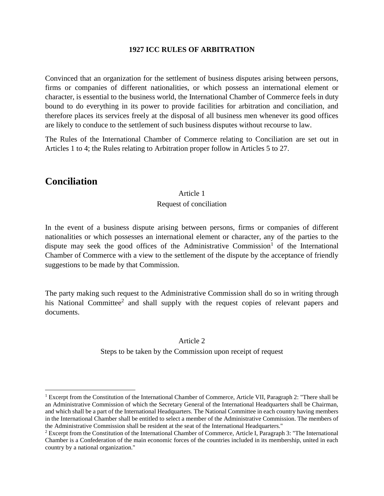#### **1927 ICC RULES OF ARBITRATION**

Convinced that an organization for the settlement of business disputes arising between persons, firms or companies of different nationalities, or which possess an international element or character, is essential to the business world, the International Chamber of Commerce feels in duty bound to do everything in its power to provide facilities for arbitration and conciliation, and therefore places its services freely at the disposal of all business men whenever its good offices are likely to conduce to the settlement of such business disputes without recourse to law.

The Rules of the International Chamber of Commerce relating to Conciliation are set out in Articles 1 to 4; the Rules relating to Arbitration proper follow in Articles 5 to 27.

# **Conciliation**

 $\overline{a}$ 

#### Article 1

#### Request of conciliation

In the event of a business dispute arising between persons, firms or companies of different nationalities or which possesses an international element or character, any of the parties to the dispute may seek the good offices of the Administrative Commission<sup>1</sup> of the International Chamber of Commerce with a view to the settlement of the dispute by the acceptance of friendly suggestions to be made by that Commission.

The party making such request to the Administrative Commission shall do so in writing through his National Committee<sup>2</sup> and shall supply with the request copies of relevant papers and documents.

## Article 2 Steps to be taken by the Commission upon receipt of request

<sup>&</sup>lt;sup>1</sup> Excerpt from the Constitution of the International Chamber of Commerce, Article VII, Paragraph 2: "There shall be an Administrative Commission of which the Secretary General of the International Headquarters shall be Chairman, and which shall be a part of the International Headquarters. The National Committee in each country having members in the International Chamber shall be entitled to select a member of the Administrative Commission. The members of the Administrative Commission shall be resident at the seat of the International Headquarters."

<sup>2</sup> Excerpt from the Constitution of the International Chamber of Commerce, Article I, Paragraph 3: "The International Chamber is a Confederation of the main economic forces of the countries included in its membership, united in each country by a national organization."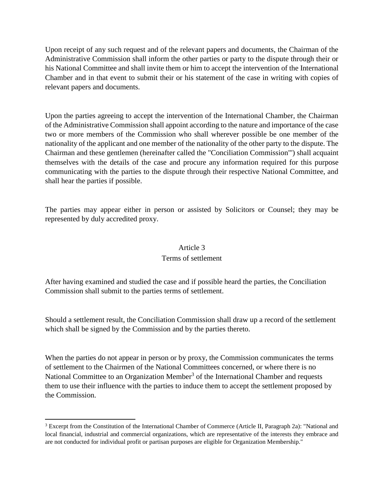Upon receipt of any such request and of the relevant papers and documents, the Chairman of the Administrative Commission shall inform the other parties or party to the dispute through their or his National Committee and shall invite them or him to accept the intervention of the International Chamber and in that event to submit their or his statement of the case in writing with copies of relevant papers and documents.

Upon the parties agreeing to accept the intervention of the International Chamber, the Chairman of the Administrative Commission shall appoint according to the nature and importance of the case two or more members of the Commission who shall wherever possible be one member of the nationality of the applicant and one member of the nationality of the other party to the dispute. The Chairman and these gentlemen (hereinafter called the "Conciliation Commission"') shall acquaint themselves with the details of the case and procure any information required for this purpose communicating with the parties to the dispute through their respective National Committee, and shall hear the parties if possible.

The parties may appear either in person or assisted by Solicitors or Counsel; they may be represented by duly accredited proxy.

#### Article 3

#### Terms of settlement

After having examined and studied the case and if possible heard the parties, the Conciliation Commission shall submit to the parties terms of settlement.

Should a settlement result, the Conciliation Commission shall draw up a record of the settlement which shall be signed by the Commission and by the parties thereto.

When the parties do not appear in person or by proxy, the Commission communicates the terms of settlement to the Chairmen of the National Committees concerned, or where there is no National Committee to an Organization Member<sup>3</sup> of the International Chamber and requests them to use their influence with the parties to induce them to accept the settlement proposed by the Commission.

 $\overline{\phantom{a}}$ 

<sup>&</sup>lt;sup>3</sup> Excerpt from the Constitution of the International Chamber of Commerce (Article II, Paragraph 2a): "National and local financial, industrial and commercial organizations, which are representative of the interests they embrace and are not conducted for individual profit or partisan purposes are eligible for Organization Membership."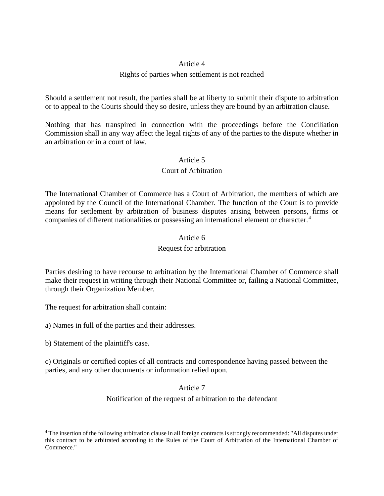#### Article 4

#### Rights of parties when settlement is not reached

Should a settlement not result, the parties shall be at liberty to submit their dispute to arbitration or to appeal to the Courts should they so desire, unless they are bound by an arbitration clause.

Nothing that has transpired in connection with the proceedings before the Conciliation Commission shall in any way affect the legal rights of any of the parties to the dispute whether in an arbitration or in a court of law.

#### Article 5

#### Court of Arbitration

The International Chamber of Commerce has a Court of Arbitration, the members of which are appointed by the Council of the International Chamber. The function of the Court is to provide means for settlement by arbitration of business disputes arising between persons, firms or companies of different nationalities or possessing an international element or character. 4

#### Article 6

#### Request for arbitration

Parties desiring to have recourse to arbitration by the International Chamber of Commerce shall make their request in writing through their National Committee or, failing a National Committee, through their Organization Member.

The request for arbitration shall contain:

a) Names in full of the parties and their addresses.

b) Statement of the plaintiff's case.

 $\overline{\phantom{a}}$ 

c) Originals or certified copies of all contracts and correspondence having passed between the parties, and any other documents or information relied upon.

Article 7

Notification of the request of arbitration to the defendant

<sup>4</sup> The insertion of the following arbitration clause in all foreign contracts is strongly recommended: "All disputes under this contract to be arbitrated according to the Rules of the Court of Arbitration of the International Chamber of Commerce."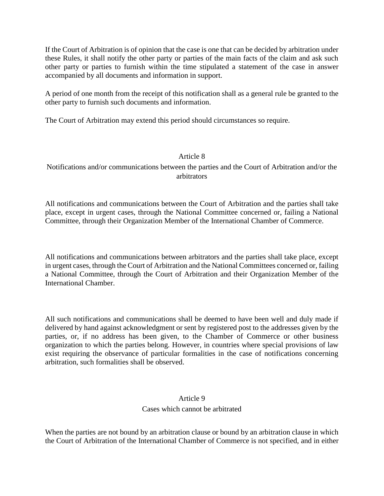If the Court of Arbitration is of opinion that the case is one that can be decided by arbitration under these Rules, it shall notify the other party or parties of the main facts of the claim and ask such other party or parties to furnish within the time stipulated a statement of the case in answer accompanied by all documents and information in support.

A period of one month from the receipt of this notification shall as a general rule be granted to the other party to furnish such documents and information.

The Court of Arbitration may extend this period should circumstances so require.

## Article 8

Notifications and/or communications between the parties and the Court of Arbitration and/or the arbitrators

All notifications and communications between the Court of Arbitration and the parties shall take place, except in urgent cases, through the National Committee concerned or, failing a National Committee, through their Organization Member of the International Chamber of Commerce.

All notifications and communications between arbitrators and the parties shall take place, except in urgent cases, through the Court of Arbitration and the National Committees concerned or, failing a National Committee, through the Court of Arbitration and their Organization Member of the International Chamber.

All such notifications and communications shall be deemed to have been well and duly made if delivered by hand against acknowledgment or sent by registered post to the addresses given by the parties, or, if no address has been given, to the Chamber of Commerce or other business organization to which the parties belong. However, in countries where special provisions of law exist requiring the observance of particular formalities in the case of notifications concerning arbitration, such formalities shall be observed.

## Article 9 Cases which cannot be arbitrated

When the parties are not bound by an arbitration clause or bound by an arbitration clause in which the Court of Arbitration of the International Chamber of Commerce is not specified, and in either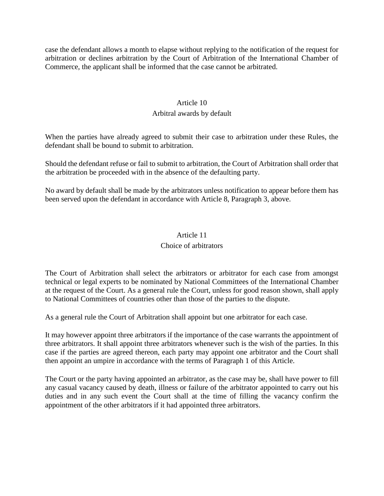case the defendant allows a month to elapse without replying to the notification of the request for arbitration or declines arbitration by the Court of Arbitration of the International Chamber of Commerce, the applicant shall be informed that the case cannot be arbitrated.

#### Article 10

#### Arbitral awards by default

When the parties have already agreed to submit their case to arbitration under these Rules, the defendant shall be bound to submit to arbitration.

Should the defendant refuse or fail to submit to arbitration, the Court of Arbitration shall order that the arbitration be proceeded with in the absence of the defaulting party.

No award by default shall be made by the arbitrators unless notification to appear before them has been served upon the defendant in accordance with Article 8, Paragraph 3, above.

## Article 11 Choice of arbitrators

The Court of Arbitration shall select the arbitrators or arbitrator for each case from amongst technical or legal experts to be nominated by National Committees of the International Chamber at the request of the Court. As a general rule the Court, unless for good reason shown, shall apply to National Committees of countries other than those of the parties to the dispute.

As a general rule the Court of Arbitration shall appoint but one arbitrator for each case.

It may however appoint three arbitrators if the importance of the case warrants the appointment of three arbitrators. It shall appoint three arbitrators whenever such is the wish of the parties. In this case if the parties are agreed thereon, each party may appoint one arbitrator and the Court shall then appoint an umpire in accordance with the terms of Paragraph 1 of this Article.

The Court or the party having appointed an arbitrator, as the case may be, shall have power to fill any casual vacancy caused by death, illness or failure of the arbitrator appointed to carry out his duties and in any such event the Court shall at the time of filling the vacancy confirm the appointment of the other arbitrators if it had appointed three arbitrators.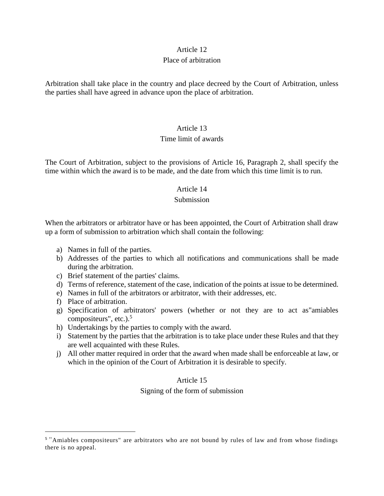# Article 12

## Place of arbitration

Arbitration shall take place in the country and place decreed by the Court of Arbitration, unless the parties shall have agreed in advance upon the place of arbitration.

## Article 13

#### Time limit of awards

The Court of Arbitration, subject to the provisions of Article 16, Paragraph 2, shall specify the time within which the award is to be made, and the date from which this time limit is to run.

#### Article 14

#### Submission

When the arbitrators or arbitrator have or has been appointed, the Court of Arbitration shall draw up a form of submission to arbitration which shall contain the following:

- a) Names in full of the parties.
- b) Addresses of the parties to which all notifications and communications shall be made during the arbitration.
- c) Brief statement of the parties' claims.
- d) Terms of reference, statement of the case, indication of the points at issue to be determined.
- e) Names in full of the arbitrators or arbitrator, with their addresses, etc.
- f) Place of arbitration.

 $\overline{\phantom{a}}$ 

- g) Specification of arbitrators' powers (whether or not they are to act as"amiables compositeurs", etc.). $5$
- h) Undertakings by the parties to comply with the award.
- i) Statement by the parties that the arbitration is to take place under these Rules and that they are well acquainted with these Rules.
- j) All other matter required in order that the award when made shall be enforceable at law, or which in the opinion of the Court of Arbitration it is desirable to specify.

## Article 15

#### Signing of the form of submission

<sup>&</sup>lt;sup>5</sup> "Amiables compositeurs" are arbitrators who are not bound by rules of law and from whose findings there is no appeal.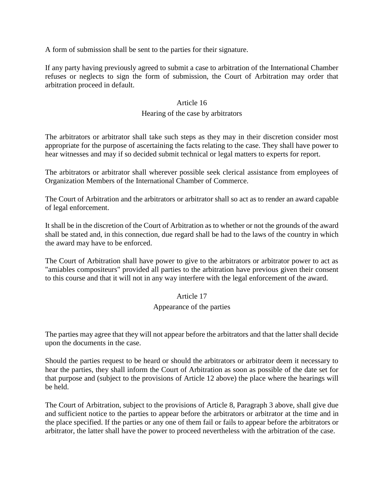A form of submission shall be sent to the parties for their signature.

If any party having previously agreed to submit a case to arbitration of the International Chamber refuses or neglects to sign the form of submission, the Court of Arbitration may order that arbitration proceed in default.

#### Article 16

## Hearing of the case by arbitrators

The arbitrators or arbitrator shall take such steps as they may in their discretion consider most appropriate for the purpose of ascertaining the facts relating to the case. They shall have power to hear witnesses and may if so decided submit technical or legal matters to experts for report.

The arbitrators or arbitrator shall wherever possible seek clerical assistance from employees of Organization Members of the International Chamber of Commerce.

The Court of Arbitration and the arbitrators or arbitrator shall so act as to render an award capable of legal enforcement.

It shall be in the discretion of the Court of Arbitration as to whether or not the grounds of the award shall be stated and, in this connection, due regard shall be had to the laws of the country in which the award may have to be enforced.

The Court of Arbitration shall have power to give to the arbitrators or arbitrator power to act as "amiables compositeurs" provided all parties to the arbitration have previous given their consent to this course and that it will not in any way interfere with the legal enforcement of the award.

## Article 17

#### Appearance of the parties

The parties may agree that they will not appear before the arbitrators and that the latter shall decide upon the documents in the case.

Should the parties request to be heard or should the arbitrators or arbitrator deem it necessary to hear the parties, they shall inform the Court of Arbitration as soon as possible of the date set for that purpose and (subject to the provisions of Article 12 above) the place where the hearings will be held.

The Court of Arbitration, subject to the provisions of Article 8, Paragraph 3 above, shall give due and sufficient notice to the parties to appear before the arbitrators or arbitrator at the time and in the place specified. If the parties or any one of them fail or fails to appear before the arbitrators or arbitrator, the latter shall have the power to proceed nevertheless with the arbitration of the case.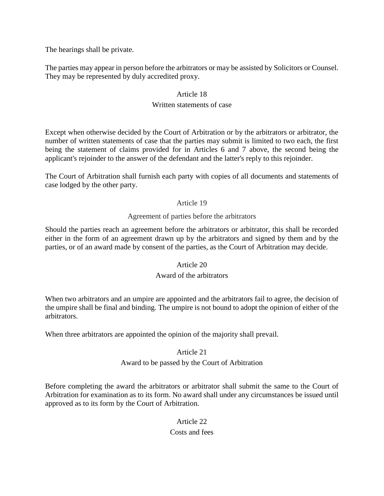The hearings shall be private.

The parties may appear in person before the arbitrators or may be assisted by Solicitors or Counsel. They may be represented by duly accredited proxy.

#### Article 18

## Written statements of case

Except when otherwise decided by the Court of Arbitration or by the arbitrators or arbitrator, the number of written statements of case that the parties may submit is limited to two each, the first being the statement of claims provided for in Articles 6 and 7 above, the second being the applicant's rejoinder to the answer of the defendant and the latter's reply to this rejoinder.

The Court of Arbitration shall furnish each party with copies of all documents and statements of case lodged by the other party.

#### Article 19

#### Agreement of parties before the arbitrators

Should the parties reach an agreement before the arbitrators or arbitrator, this shall be recorded either in the form of an agreement drawn up by the arbitrators and signed by them and by the parties, or of an award made by consent of the parties, as the Court of Arbitration may decide.

#### Article 20

## Award of the arbitrators

When two arbitrators and an umpire are appointed and the arbitrators fail to agree, the decision of the umpire shall be final and binding. The umpire is not bound to adopt the opinion of either of the arbitrators.

When three arbitrators are appointed the opinion of the majority shall prevail.

## Article 21

## Award to be passed by the Court of Arbitration

Before completing the award the arbitrators or arbitrator shall submit the same to the Court of Arbitration for examination as to its form. No award shall under any circumstances be issued until approved as to its form by the Court of Arbitration.

# Article 22

# Costs and fees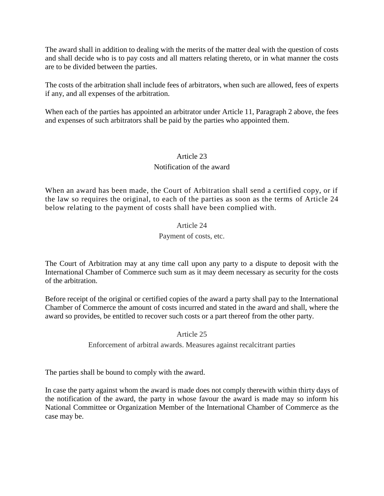The award shall in addition to dealing with the merits of the matter deal with the question of costs and shall decide who is to pay costs and all matters relating thereto, or in what manner the costs are to be divided between the parties.

The costs of the arbitration shall include fees of arbitrators, when such are allowed, fees of experts if any, and all expenses of the arbitration.

When each of the parties has appointed an arbitrator under Article 11, Paragraph 2 above, the fees and expenses of such arbitrators shall be paid by the parties who appointed them.

## Article 23

#### Notification of the award

When an award has been made, the Court of Arbitration shall send a certified copy, or if the law so requires the original, to each of the parties as soon as the terms of Article 24 below relating to the payment of costs shall have been complied with.

## Article 24 Payment of costs, etc.

The Court of Arbitration may at any time call upon any party to a dispute to deposit with the International Chamber of Commerce such sum as it may deem necessary as security for the costs of the arbitration.

Before receipt of the original or certified copies of the award a party shall pay to the International Chamber of Commerce the amount of costs incurred and stated in the award and shall, where the award so provides, be entitled to recover such costs or a part thereof from the other party.

Article 25

Enforcement of arbitral awards. Measures against recalcitrant parties

The parties shall be bound to comply with the award.

In case the party against whom the award is made does not comply therewith within thirty days of the notification of the award, the party in whose favour the award is made may so inform his National Committee or Organization Member of the International Chamber of Commerce as the case may be.